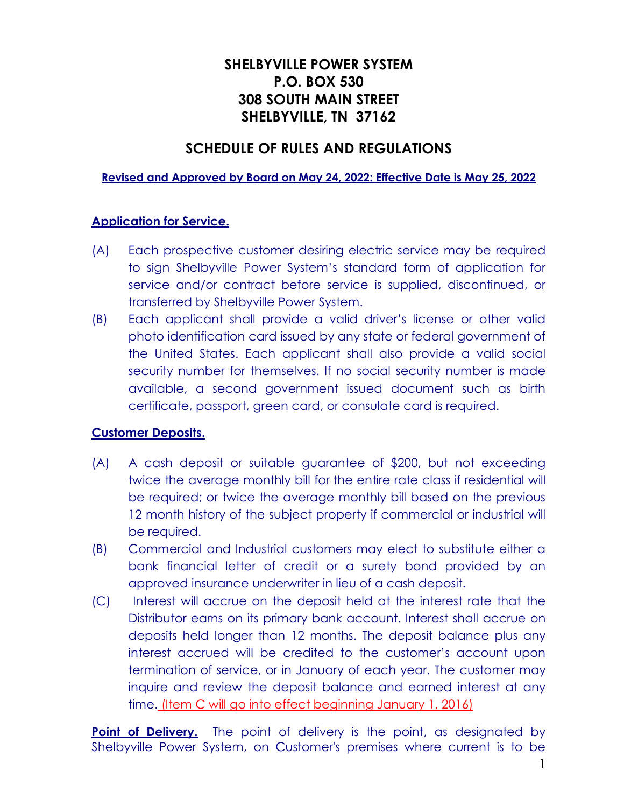# **SHELBYVILLE POWER SYSTEM P.O. BOX 530 308 SOUTH MAIN STREET SHELBYVILLE, TN 37162**

## **SCHEDULE OF RULES AND REGULATIONS**

#### **Revised and Approved by Board on May 24, 2022: Effective Date is May 25, 2022**

#### **Application for Service.**

- (A) Each prospective customer desiring electric service may be required to sign Shelbyville Power System's standard form of application for service and/or contract before service is supplied, discontinued, or transferred by Shelbyville Power System.
- (B) Each applicant shall provide a valid driver's license or other valid photo identification card issued by any state or federal government of the United States. Each applicant shall also provide a valid social security number for themselves. If no social security number is made available, a second government issued document such as birth certificate, passport, green card, or consulate card is required.

#### **Customer Deposits.**

- (A) A cash deposit or suitable guarantee of \$200, but not exceeding twice the average monthly bill for the entire rate class if residential will be required; or twice the average monthly bill based on the previous 12 month history of the subject property if commercial or industrial will be required.
- (B) Commercial and Industrial customers may elect to substitute either a bank financial letter of credit or a surety bond provided by an approved insurance underwriter in lieu of a cash deposit.
- (C) Interest will accrue on the deposit held at the interest rate that the Distributor earns on its primary bank account. Interest shall accrue on deposits held longer than 12 months. The deposit balance plus any interest accrued will be credited to the customer's account upon termination of service, or in January of each year. The customer may inquire and review the deposit balance and earned interest at any time. (Item C will go into effect beginning January 1, 2016)

**Point of Delivery.** The point of delivery is the point, as designated by Shelbyville Power System, on Customer's premises where current is to be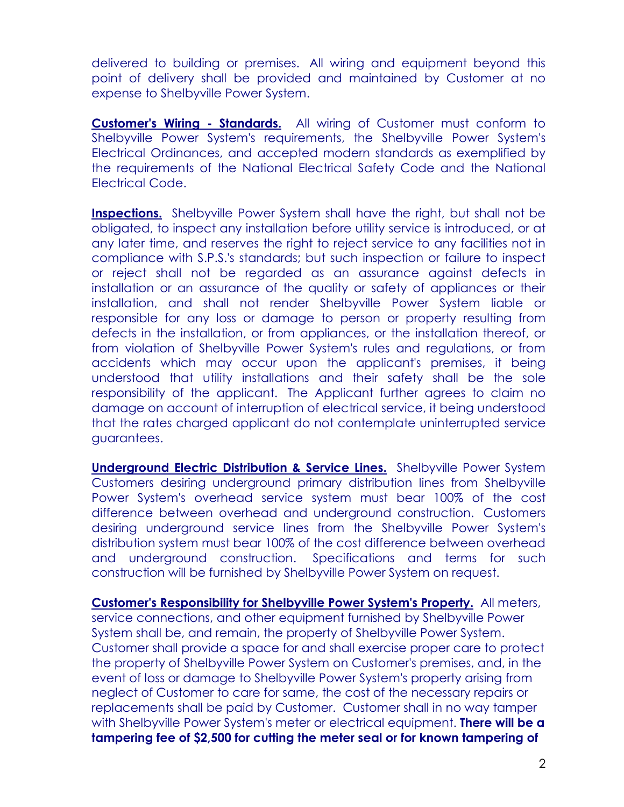delivered to building or premises. All wiring and equipment beyond this point of delivery shall be provided and maintained by Customer at no expense to Shelbyville Power System.

**Customer's Wiring - Standards.** All wiring of Customer must conform to Shelbyville Power System's requirements, the Shelbyville Power System's Electrical Ordinances, and accepted modern standards as exemplified by the requirements of the National Electrical Safety Code and the National Electrical Code.

**Inspections.** Shelbyville Power System shall have the right, but shall not be obligated, to inspect any installation before utility service is introduced, or at any later time, and reserves the right to reject service to any facilities not in compliance with S.P.S.'s standards; but such inspection or failure to inspect or reject shall not be regarded as an assurance against defects in installation or an assurance of the quality or safety of appliances or their installation, and shall not render Shelbyville Power System liable or responsible for any loss or damage to person or property resulting from defects in the installation, or from appliances, or the installation thereof, or from violation of Shelbyville Power System's rules and regulations, or from accidents which may occur upon the applicant's premises, it being understood that utility installations and their safety shall be the sole responsibility of the applicant. The Applicant further agrees to claim no damage on account of interruption of electrical service, it being understood that the rates charged applicant do not contemplate uninterrupted service guarantees.

**Underground Electric Distribution & Service Lines.** Shelbyville Power System Customers desiring underground primary distribution lines from Shelbyville Power System's overhead service system must bear 100% of the cost difference between overhead and underground construction. Customers desiring underground service lines from the Shelbyville Power System's distribution system must bear 100% of the cost difference between overhead and underground construction. Specifications and terms for such construction will be furnished by Shelbyville Power System on request.

**Customer's Responsibility for Shelbyville Power System's Property.** All meters, service connections, and other equipment furnished by Shelbyville Power System shall be, and remain, the property of Shelbyville Power System. Customer shall provide a space for and shall exercise proper care to protect the property of Shelbyville Power System on Customer's premises, and, in the event of loss or damage to Shelbyville Power System's property arising from neglect of Customer to care for same, the cost of the necessary repairs or replacements shall be paid by Customer. Customer shall in no way tamper with Shelbyville Power System's meter or electrical equipment. **There will be a tampering fee of \$2,500 for cutting the meter seal or for known tampering of**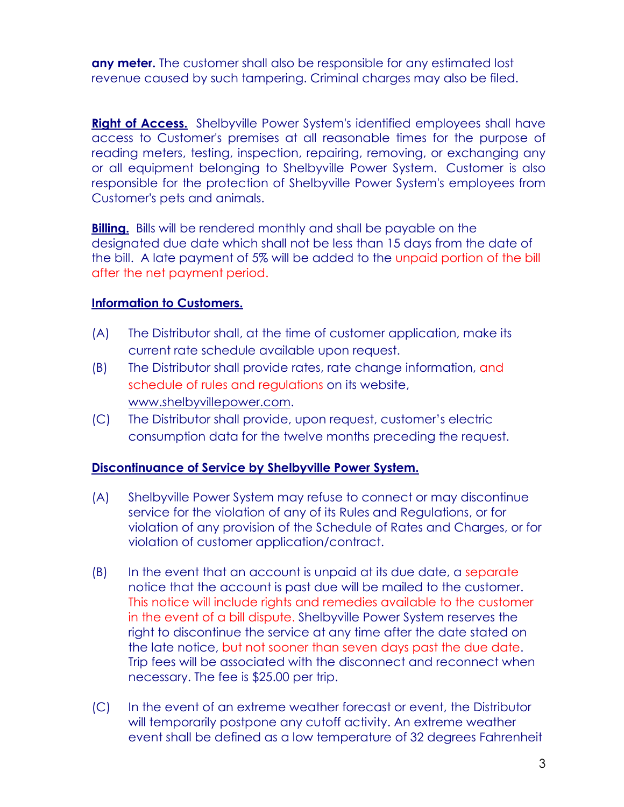**any meter.** The customer shall also be responsible for any estimated lost revenue caused by such tampering. Criminal charges may also be filed.

**Right of Access.** Shelbyville Power System's identified employees shall have access to Customer's premises at all reasonable times for the purpose of reading meters, testing, inspection, repairing, removing, or exchanging any or all equipment belonging to Shelbyville Power System. Customer is also responsible for the protection of Shelbyville Power System's employees from Customer's pets and animals.

**Billing.** Bills will be rendered monthly and shall be payable on the designated due date which shall not be less than 15 days from the date of the bill. A late payment of 5% will be added to the unpaid portion of the bill after the net payment period.

#### **Information to Customers.**

- (A) The Distributor shall, at the time of customer application, make its current rate schedule available upon request.
- (B) The Distributor shall provide rates, rate change information, and schedule of rules and regulations on its website, [www.shelbyvillepower.com.](http://www.shelbyvillepower.com/)
- (C) The Distributor shall provide, upon request, customer's electric consumption data for the twelve months preceding the request.

### **Discontinuance of Service by Shelbyville Power System.**

- (A) Shelbyville Power System may refuse to connect or may discontinue service for the violation of any of its Rules and Regulations, or for violation of any provision of the Schedule of Rates and Charges, or for violation of customer application/contract.
- (B) In the event that an account is unpaid at its due date, a separate notice that the account is past due will be mailed to the customer. This notice will include rights and remedies available to the customer in the event of a bill dispute. Shelbyville Power System reserves the right to discontinue the service at any time after the date stated on the late notice, but not sooner than seven days past the due date. Trip fees will be associated with the disconnect and reconnect when necessary. The fee is \$25.00 per trip.
- (C) In the event of an extreme weather forecast or event, the Distributor will temporarily postpone any cutoff activity. An extreme weather event shall be defined as a low temperature of 32 degrees Fahrenheit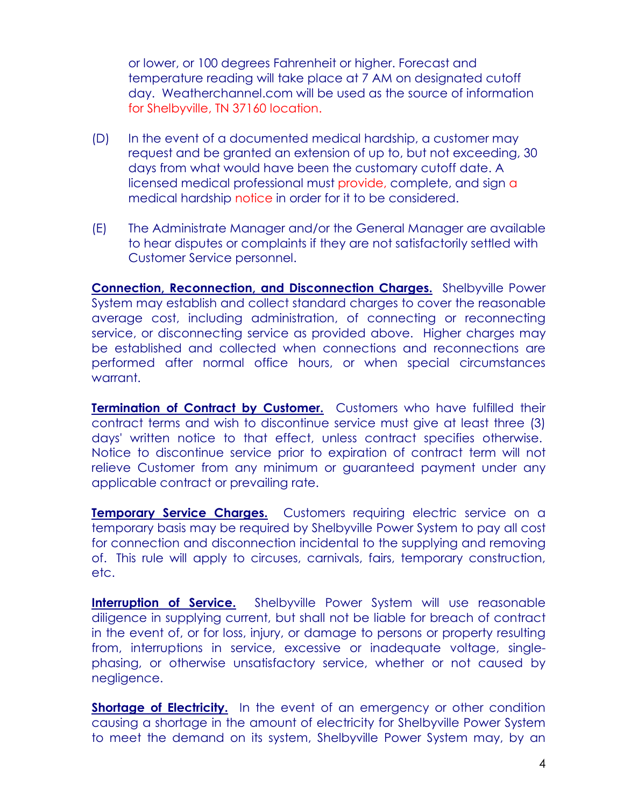or lower, or 100 degrees Fahrenheit or higher. Forecast and temperature reading will take place at 7 AM on designated cutoff day. Weatherchannel.com will be used as the source of information for Shelbyville, TN 37160 location.

- (D) In the event of a documented medical hardship, a customer may request and be granted an extension of up to, but not exceeding, 30 days from what would have been the customary cutoff date. A licensed medical professional must provide, complete, and sign a medical hardship notice in order for it to be considered.
- (E) The Administrate Manager and/or the General Manager are available to hear disputes or complaints if they are not satisfactorily settled with Customer Service personnel.

**Connection, Reconnection, and Disconnection Charges.** Shelbyville Power System may establish and collect standard charges to cover the reasonable average cost, including administration, of connecting or reconnecting service, or disconnecting service as provided above. Higher charges may be established and collected when connections and reconnections are performed after normal office hours, or when special circumstances warrant.

**Termination of Contract by Customer.** Customers who have fulfilled their contract terms and wish to discontinue service must give at least three (3) days' written notice to that effect, unless contract specifies otherwise. Notice to discontinue service prior to expiration of contract term will not relieve Customer from any minimum or guaranteed payment under any applicable contract or prevailing rate.

**Temporary Service Charges.** Customers requiring electric service on a temporary basis may be required by Shelbyville Power System to pay all cost for connection and disconnection incidental to the supplying and removing of. This rule will apply to circuses, carnivals, fairs, temporary construction, etc.

**Interruption of Service.** Shelbyville Power System will use reasonable diligence in supplying current, but shall not be liable for breach of contract in the event of, or for loss, injury, or damage to persons or property resulting from, interruptions in service, excessive or inadequate voltage, singlephasing, or otherwise unsatisfactory service, whether or not caused by negligence.

**Shortage of Electricity.** In the event of an emergency or other condition causing a shortage in the amount of electricity for Shelbyville Power System to meet the demand on its system, Shelbyville Power System may, by an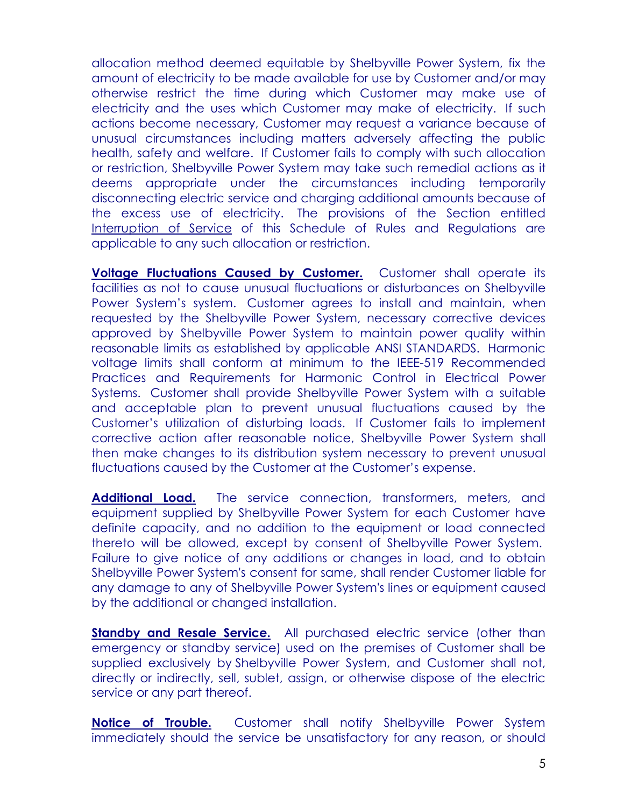allocation method deemed equitable by Shelbyville Power System, fix the amount of electricity to be made available for use by Customer and/or may otherwise restrict the time during which Customer may make use of electricity and the uses which Customer may make of electricity. If such actions become necessary, Customer may request a variance because of unusual circumstances including matters adversely affecting the public health, safety and welfare. If Customer fails to comply with such allocation or restriction, Shelbyville Power System may take such remedial actions as it deems appropriate under the circumstances including temporarily disconnecting electric service and charging additional amounts because of the excess use of electricity. The provisions of the Section entitled Interruption of Service of this Schedule of Rules and Regulations are applicable to any such allocation or restriction.

**Voltage Fluctuations Caused by Customer.** Customer shall operate its facilities as not to cause unusual fluctuations or disturbances on Shelbyville Power System's system. Customer agrees to install and maintain, when requested by the Shelbyville Power System, necessary corrective devices approved by Shelbyville Power System to maintain power quality within reasonable limits as established by applicable ANSI STANDARDS. Harmonic voltage limits shall conform at minimum to the IEEE-519 Recommended Practices and Requirements for Harmonic Control in Electrical Power Systems. Customer shall provide Shelbyville Power System with a suitable and acceptable plan to prevent unusual fluctuations caused by the Customer's utilization of disturbing loads. If Customer fails to implement corrective action after reasonable notice, Shelbyville Power System shall then make changes to its distribution system necessary to prevent unusual fluctuations caused by the Customer at the Customer's expense.

**Additional Load.** The service connection, transformers, meters, and equipment supplied by Shelbyville Power System for each Customer have definite capacity, and no addition to the equipment or load connected thereto will be allowed, except by consent of Shelbyville Power System. Failure to give notice of any additions or changes in load, and to obtain Shelbyville Power System's consent for same, shall render Customer liable for any damage to any of Shelbyville Power System's lines or equipment caused by the additional or changed installation.

**Standby and Resale Service.** All purchased electric service (other than emergency or standby service) used on the premises of Customer shall be supplied exclusively by Shelbyville Power System, and Customer shall not, directly or indirectly, sell, sublet, assign, or otherwise dispose of the electric service or any part thereof.

**Notice of Trouble.** Customer shall notify Shelbyville Power System immediately should the service be unsatisfactory for any reason, or should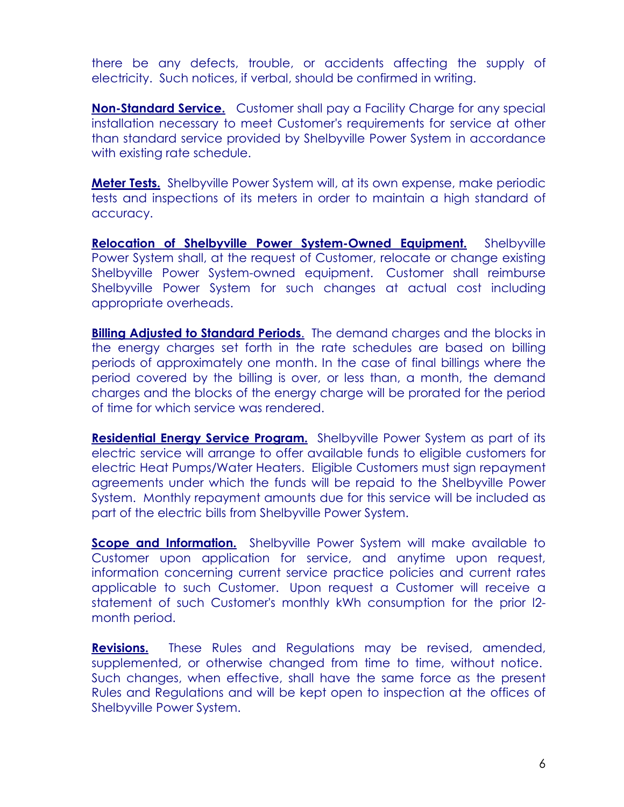there be any defects, trouble, or accidents affecting the supply of electricity. Such notices, if verbal, should be confirmed in writing.

**Non-Standard Service.** Customer shall pay a Facility Charge for any special installation necessary to meet Customer's requirements for service at other than standard service provided by Shelbyville Power System in accordance with existing rate schedule.

**Meter Tests.** Shelbyville Power System will, at its own expense, make periodic tests and inspections of its meters in order to maintain a high standard of accuracy.

**Relocation of Shelbyville Power System-Owned Equipment.** Shelbyville Power System shall, at the request of Customer, relocate or change existing Shelbyville Power System-owned equipment. Customer shall reimburse Shelbyville Power System for such changes at actual cost including appropriate overheads.

**Billing Adjusted to Standard Periods**. The demand charges and the blocks in the energy charges set forth in the rate schedules are based on billing periods of approximately one month. In the case of final billings where the period covered by the billing is over, or less than, a month, the demand charges and the blocks of the energy charge will be prorated for the period of time for which service was rendered.

**Residential Energy Service Program.** Shelbyville Power System as part of its electric service will arrange to offer available funds to eligible customers for electric Heat Pumps/Water Heaters. Eligible Customers must sign repayment agreements under which the funds will be repaid to the Shelbyville Power System. Monthly repayment amounts due for this service will be included as part of the electric bills from Shelbyville Power System.

**Scope and Information.** Shelbyville Power System will make available to Customer upon application for service, and anytime upon request, information concerning current service practice policies and current rates applicable to such Customer. Upon request a Customer will receive a statement of such Customer's monthly kWh consumption for the prior l2 month period.

**Revisions.** These Rules and Regulations may be revised, amended, supplemented, or otherwise changed from time to time, without notice. Such changes, when effective, shall have the same force as the present Rules and Regulations and will be kept open to inspection at the offices of Shelbyville Power System.